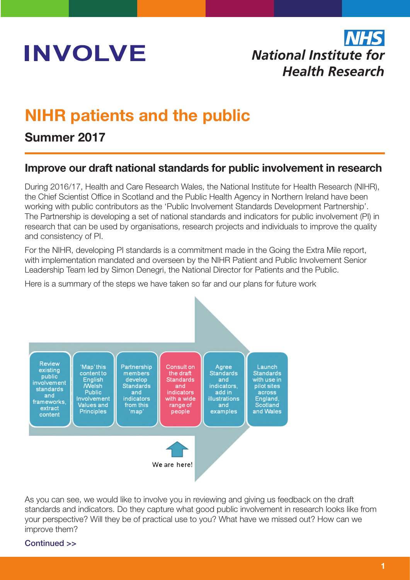

# **National Institute for Health Research**

## NIHR patients and the public

## Summer 2017

## Improve our draft national standards for public involvement in research

During 2016/17, Health and Care Research Wales, the National Institute for Health Research (NIHR), the Chief Scientist Office in Scotland and the Public Health Agency in Northern Ireland have been working with public contributors as the 'Public Involvement Standards Development Partnership'. The Partnership is developing a set of national standards and indicators for public involvement (PI) in research that can be used by organisations, research projects and individuals to improve the quality and consistency of PI.

For the NIHR, developing PI standards is a commitment made in the Going the Extra Mile report, with implementation mandated and overseen by the NIHR Patient and Public Involvement Senior Leadership Team led by Simon Denegri, the National Director for Patients and the Public.

Here is a summary of the steps we have taken so far and our plans for future work



As you can see, we would like to involve you in reviewing and giving us feedback on the draft standards and indicators. Do they capture what good public involvement in research looks like from your perspective? Will they be of practical use to you? What have we missed out? How can we improve them?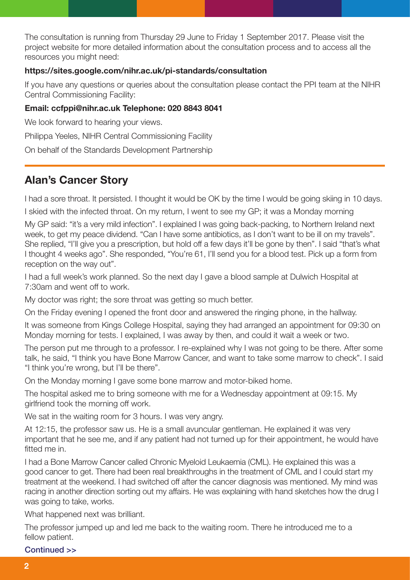The consultation is running from Thursday 29 June to Friday 1 September 2017. Please visit the project website for more detailed information about the consultation process and to access all the resources you might need:

#### https://sites.google.com/nihr.ac.uk/pi-standards/consultation

If you have any questions or queries about the consultation please contact the PPI team at the NIHR Central Commissioning Facility:

#### Email: ccfppi@nihr.ac.uk Telephone: 020 8843 8041

We look forward to hearing your views.

Philippa Yeeles, NIHR Central Commissioning Facility

On behalf of the Standards Development Partnership

## Alan's Cancer Story

I had a sore throat. It persisted. I thought it would be OK by the time I would be going skiing in 10 days.

I skied with the infected throat. On my return, I went to see my GP; it was a Monday morning

My GP said: "it's a very mild infection". I explained I was going back-packing, to Northern Ireland next week, to get my peace dividend. "Can I have some antibiotics, as I don't want to be ill on my travels". She replied, "I'll give you a prescription, but hold off a few days it'll be gone by then". I said "that's what I thought 4 weeks ago". She responded, "You're 61, I'll send you for a blood test. Pick up a form from reception on the way out".

I had a full week's work planned. So the next day I gave a blood sample at Dulwich Hospital at 7:30am and went off to work.

My doctor was right; the sore throat was getting so much better.

On the Friday evening I opened the front door and answered the ringing phone, in the hallway.

It was someone from Kings College Hospital, saying they had arranged an appointment for 09:30 on Monday morning for tests. I explained, I was away by then, and could it wait a week or two.

The person put me through to a professor. I re-explained why I was not going to be there. After some talk, he said, "I think you have Bone Marrow Cancer, and want to take some marrow to check". I said "I think you're wrong, but I'll be there".

On the Monday morning I gave some bone marrow and motor-biked home.

The hospital asked me to bring someone with me for a Wednesday appointment at 09:15. My girlfriend took the morning off work.

We sat in the waiting room for 3 hours. I was very angry.

At 12:15, the professor saw us. He is a small avuncular gentleman. He explained it was very important that he see me, and if any patient had not turned up for their appointment, he would have fitted me in.

I had a Bone Marrow Cancer called Chronic Myeloid Leukaemia (CML). He explained this was a good cancer to get. There had been real breakthroughs in the treatment of CML and I could start my treatment at the weekend. I had switched off after the cancer diagnosis was mentioned. My mind was racing in another direction sorting out my affairs. He was explaining with hand sketches how the drug I was going to take, works.

What happened next was brilliant.

The professor jumped up and led me back to the waiting room. There he introduced me to a fellow patient.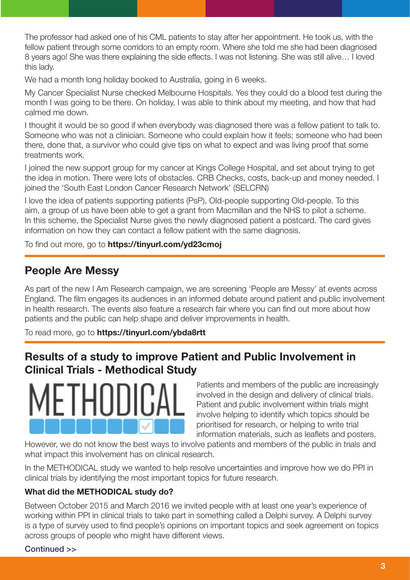The professor had asked one of his CML patients to stay after her appointment. He took us, with the fellow patient through some corridors to an empty room. Where she told me she had been diagnosed 8 years ago! She was there explaining the side effects. I was not listening. She was still alive… I loved this lady.

We had a month long holiday booked to Australia, going in 6 weeks.

My Cancer Specialist Nurse checked Melbourne Hospitals. Yes they could do a blood test during the month I was going to be there. On holiday, I was able to think about my meeting, and how that had calmed me down.

I thought it would be so good if when everybody was diagnosed there was a fellow patient to talk to. Someone who was not a clinician. Someone who could explain how it feels; someone who had been there, done that, a survivor who could give tips on what to expect and was living proof that some treatments work.

I joined the new support group for my cancer at Kings College Hospital, and set about trying to get the idea in motion. There were lots of obstacles. CRB Checks, costs, back-up and money needed. I joined the 'South East London Cancer Research Network' (SELCRN)

I love the idea of patients supporting patients (PsP), Old-people supporting Old-people. To this aim, a group of us have been able to get a grant from Macmillan and the NHS to pilot a scheme. In this scheme, the Specialist Nurse gives the newly diagnosed patient a postcard. The card gives information on how they can contact a fellow patient with the same diagnosis.

To find out more, go to https://tinyurl.com/yd23cmoj

## People Are Messy

As part of the new I Am Research campaign, we are screening 'People are Messy' at events across England. The film engages its audiences in an informed debate around patient and public involvement in health research. The events also feature a research fair where you can find out more about how patients and the public can help shape and deliver improvements in health.

To read more, go to https://tinyurl.com/ybda8rtt

## Results of a study to improve Patient and Public Involvement in Clinical Trials - Methodical Study



Patients and members of the public are increasingly involved in the design and delivery of clinical trials. Patient and public involvement within trials might involve helping to identify which topics should be prioritised for research, or helping to write trial information materials, such as leaflets and posters.

However, we do not know the best ways to involve patients and members of the public in trials and what impact this involvement has on clinical research.

In the METHODICAL study we wanted to help resolve uncertainties and improve how we do PPI in clinical trials by identifying the most important topics for future research.

#### What did the METHODICAL study do?

Between October 2015 and March 2016 we invited people with at least one year's experience of working within PPI in clinical trials to take part in something called a Delphi survey. A Delphi survey is a type of survey used to find people's opinions on important topics and seek agreement on topics across groups of people who might have different views.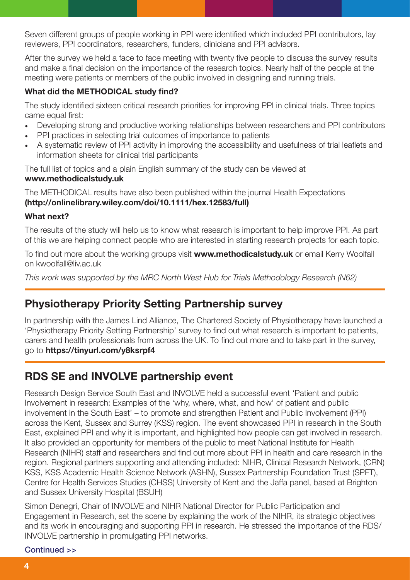Seven different groups of people working in PPI were identified which included PPI contributors, lay reviewers, PPI coordinators, researchers, funders, clinicians and PPI advisors.

After the survey we held a face to face meeting with twenty five people to discuss the survey results and make a final decision on the importance of the research topics. Nearly half of the people at the meeting were patients or members of the public involved in designing and running trials.

#### What did the METHODICAL study find?

The study identified sixteen critical research priorities for improving PPI in clinical trials. Three topics came equal first:

- Developing strong and productive working relationships between researchers and PPI contributors
- PPI practices in selecting trial outcomes of importance to patients
- A systematic review of PPI activity in improving the accessibility and usefulness of trial leaflets and information sheets for clinical trial participants

The full list of topics and a plain English summary of the study can be viewed at

#### www.methodicalstudy.uk

The METHODICAL results have also been published within the journal Health Expectations (http://onlinelibrary.wiley.com/doi/10.1111/hex.12583/full)

#### What next?

The results of the study will help us to know what research is important to help improve PPI. As part of this we are helping connect people who are interested in starting research projects for each topic.

To find out more about the working groups visit www.methodicalstudy.uk or email Kerry Woolfall on kwoolfall@liv.ac.uk

*This work was supported by the MRC North West Hub for Trials Methodology Research (N62)*

## Physiotherapy Priority Setting Partnership survey

In partnership with the James Lind Alliance, The Chartered Society of Physiotherapy have launched a 'Physiotherapy Priority Setting Partnership' survey to find out what research is important to patients, carers and health professionals from across the UK. To find out more and to take part in the survey, go to https://tinyurl.com/y8ksrpf4

## RDS SE and INVOLVE partnership event

Research Design Service South East and INVOLVE held a successful event 'Patient and public Involvement in research: Examples of the 'why, where, what, and how' of patient and public involvement in the South East' – to promote and strengthen Patient and Public Involvement (PPI) across the Kent, Sussex and Surrey (KSS) region. The event showcased PPI in research in the South East, explained PPI and why it is important, and highlighted how people can get involved in research. It also provided an opportunity for members of the public to meet National Institute for Health Research (NIHR) staff and researchers and find out more about PPI in health and care research in the region. Regional partners supporting and attending included: NIHR, Clinical Research Network, (CRN) KSS, KSS Academic Health Science Network (ASHN), Sussex Partnership Foundation Trust (SPFT), Centre for Health Services Studies (CHSS) University of Kent and the Jaffa panel, based at Brighton and Sussex University Hospital (BSUH)

Simon Denegri, Chair of INVOLVE and NIHR National Director for Public Participation and Engagement in Research, set the scene by explaining the work of the NIHR, its strategic objectives and its work in encouraging and supporting PPI in research. He stressed the importance of the RDS/ INVOLVE partnership in promulgating PPI networks.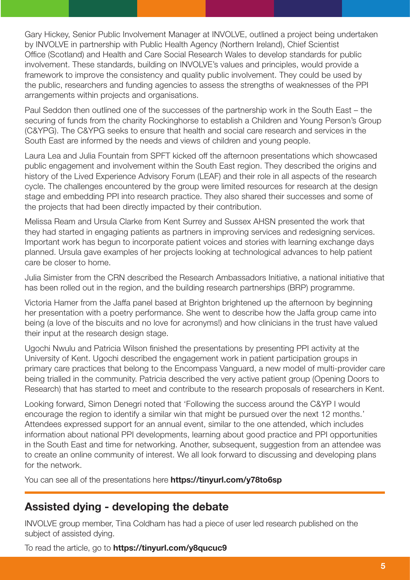Gary Hickey, Senior Public Involvement Manager at INVOLVE, outlined a project being undertaken by INVOLVE in partnership with Public Health Agency (Northern Ireland), Chief Scientist Office (Scotland) and Health and Care Social Research Wales to develop standards for public involvement. These standards, building on INVOLVE's values and principles, would provide a framework to improve the consistency and quality public involvement. They could be used by the public, researchers and funding agencies to assess the strengths of weaknesses of the PPI arrangements within projects and organisations.

Paul Seddon then outlined one of the successes of the partnership work in the South East – the securing of funds from the charity Rockinghorse to establish a Children and Young Person's Group (C&YPG). The C&YPG seeks to ensure that health and social care research and services in the South East are informed by the needs and views of children and young people.

Laura Lea and Julia Fountain from SPFT kicked off the afternoon presentations which showcased public engagement and involvement within the South East region. They described the origins and history of the Lived Experience Advisory Forum (LEAF) and their role in all aspects of the research cycle. The challenges encountered by the group were limited resources for research at the design stage and embedding PPI into research practice. They also shared their successes and some of the projects that had been directly impacted by their contribution.

Melissa Ream and Ursula Clarke from Kent Surrey and Sussex AHSN presented the work that they had started in engaging patients as partners in improving services and redesigning services. Important work has begun to incorporate patient voices and stories with learning exchange days planned. Ursula gave examples of her projects looking at technological advances to help patient care be closer to home.

Julia Simister from the CRN described the Research Ambassadors Initiative, a national initiative that has been rolled out in the region, and the building research partnerships (BRP) programme.

Victoria Hamer from the Jaffa panel based at Brighton brightened up the afternoon by beginning her presentation with a poetry performance. She went to describe how the Jaffa group came into being (a love of the biscuits and no love for acronyms!) and how clinicians in the trust have valued their input at the research design stage.

Ugochi Nwulu and Patricia Wilson finished the presentations by presenting PPI activity at the University of Kent. Ugochi described the engagement work in patient participation groups in primary care practices that belong to the Encompass Vanguard, a new model of multi-provider care being trialled in the community. Patricia described the very active patient group (Opening Doors to Research) that has started to meet and contribute to the research proposals of researchers in Kent.

Looking forward, Simon Denegri noted that 'Following the success around the C&YP I would encourage the region to identify a similar win that might be pursued over the next 12 months.' Attendees expressed support for an annual event, similar to the one attended, which includes information about national PPI developments, learning about good practice and PPI opportunities in the South East and time for networking. Another, subsequent, suggestion from an attendee was to create an online community of interest. We all look forward to discussing and developing plans for the network.

You can see all of the presentations here **https://tinyurl.com/y78to6sp** 

## Assisted dying - developing the debate

INVOLVE group member, Tina Coldham has had a piece of user led research published on the subject of assisted dying.

To read the article, go to https://tinyurl.com/y8qucuc9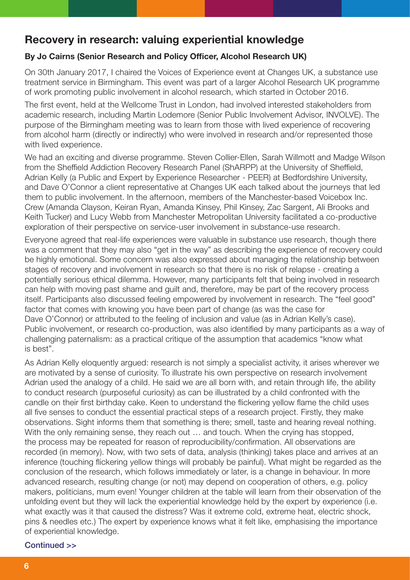### Recovery in research: valuing experiential knowledge

#### By Jo Cairns (Senior Research and Policy Officer, Alcohol Research UK)

On 30th January 2017, I chaired the Voices of Experience event at Changes UK, a substance use treatment service in Birmingham. This event was part of a larger Alcohol Research UK programme of work promoting public involvement in alcohol research, which started in October 2016.

The first event, held at the Wellcome Trust in London, had involved interested stakeholders from academic research, including Martin Lodemore (Senior Public Involvement Advisor, INVOLVE). The purpose of the Birmingham meeting was to learn from those with lived experience of recovering from alcohol harm (directly or indirectly) who were involved in research and/or represented those with lived experience.

We had an exciting and diverse programme. Steven Collier-Ellen, Sarah Willmott and Madge Wilson from the Sheffield Addiction Recovery Research Panel (ShARPP) at the University of Sheffield, Adrian Kelly (a Public and Expert by Experience Researcher - PEER) at Bedfordshire University, and Dave O'Connor a client representative at Changes UK each talked about the journeys that led them to public involvement. In the afternoon, members of the Manchester-based Voicebox Inc. Crew (Amanda Clayson, Keiran Ryan, Amanda Kinsey, Phil Kinsey, Zac Sargent, Ali Brooks and Keith Tucker) and Lucy Webb from Manchester Metropolitan University facilitated a co-productive exploration of their perspective on service-user involvement in substance-use research.

Everyone agreed that real-life experiences were valuable in substance use research, though there was a comment that they may also "get in the way" as describing the experience of recovery could be highly emotional. Some concern was also expressed about managing the relationship between stages of recovery and involvement in research so that there is no risk of relapse - creating a potentially serious ethical dilemma. However, many participants felt that being involved in research can help with moving past shame and guilt and, therefore, may be part of the recovery process itself. Participants also discussed feeling empowered by involvement in research. The "feel good" factor that comes with knowing you have been part of change (as was the case for Dave O'Connor) or attributed to the feeling of inclusion and value (as in Adrian Kelly's case). Public involvement, or research co-production, was also identified by many participants as a way of challenging paternalism: as a practical critique of the assumption that academics "know what is best".

As Adrian Kelly eloquently argued: research is not simply a specialist activity, it arises wherever we are motivated by a sense of curiosity. To illustrate his own perspective on research involvement Adrian used the analogy of a child. He said we are all born with, and retain through life, the ability to conduct research (purposeful curiosity) as can be illustrated by a child confronted with the candle on their first birthday cake. Keen to understand the flickering yellow flame the child uses all five senses to conduct the essential practical steps of a research project. Firstly, they make observations. Sight informs them that something is there; smell, taste and hearing reveal nothing. With the only remaining sense, they reach out ... and touch. When the crying has stopped, the process may be repeated for reason of reproducibility/confirmation. All observations are recorded (in memory). Now, with two sets of data, analysis (thinking) takes place and arrives at an inference (touching flickering yellow things will probably be painful). What might be regarded as the conclusion of the research, which follows immediately or later, is a change in behaviour. In more advanced research, resulting change (or not) may depend on cooperation of others, e.g. policy makers, politicians, mum even! Younger children at the table will learn from their observation of the unfolding event but they will lack the experiential knowledge held by the expert by experience (i.e. what exactly was it that caused the distress? Was it extreme cold, extreme heat, electric shock, pins & needles etc.) The expert by experience knows what it felt like, emphasising the importance of experiential knowledge.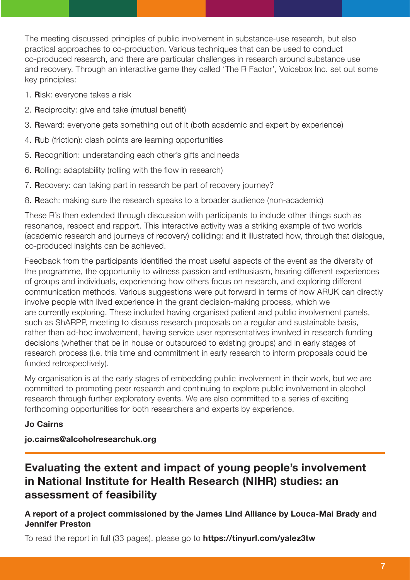The meeting discussed principles of public involvement in substance-use research, but also practical approaches to co-production. Various techniques that can be used to conduct co-produced research, and there are particular challenges in research around substance use and recovery. Through an interactive game they called 'The R Factor', Voicebox Inc. set out some key principles:

- 1. Risk: everyone takes a risk
- 2. Reciprocity: give and take (mutual benefit)
- 3. Reward: everyone gets something out of it (both academic and expert by experience)
- 4. Rub (friction): clash points are learning opportunities
- 5. Recognition: understanding each other's gifts and needs
- 6. Rolling: adaptability (rolling with the flow in research)
- 7. Recovery: can taking part in research be part of recovery journey?
- 8. Reach: making sure the research speaks to a broader audience (non-academic)

These R's then extended through discussion with participants to include other things such as resonance, respect and rapport. This interactive activity was a striking example of two worlds (academic research and journeys of recovery) colliding: and it illustrated how, through that dialogue, co-produced insights can be achieved.

Feedback from the participants identified the most useful aspects of the event as the diversity of the programme, the opportunity to witness passion and enthusiasm, hearing different experiences of groups and individuals, experiencing how others focus on research, and exploring different communication methods. Various suggestions were put forward in terms of how ARUK can directly involve people with lived experience in the grant decision-making process, which we are currently exploring. These included having organised patient and public involvement panels, such as ShARPP, meeting to discuss research proposals on a regular and sustainable basis, rather than ad-hoc involvement, having service user representatives involved in research funding decisions (whether that be in house or outsourced to existing groups) and in early stages of research process (i.e. this time and commitment in early research to inform proposals could be funded retrospectively).

My organisation is at the early stages of embedding public involvement in their work, but we are committed to promoting peer research and continuing to explore public involvement in alcohol research through further exploratory events. We are also committed to a series of exciting forthcoming opportunities for both researchers and experts by experience.

#### Jo Cairns

jo.cairns@alcoholresearchuk.org

## Evaluating the extent and impact of young people's involvement in National Institute for Health Research (NIHR) studies: an assessment of feasibility

#### A report of a project commissioned by the James Lind Alliance by Louca-Mai Brady and Jennifer Preston

To read the report in full (33 pages), please go to https://tinyurl.com/yalez3tw